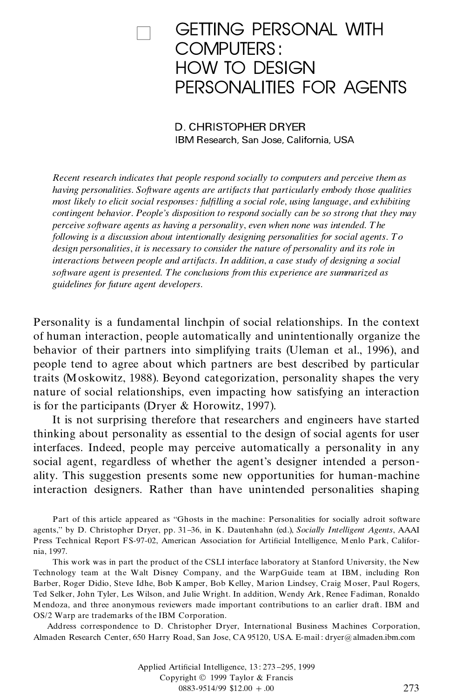# **GETTING PERSONAL WITH** COMPUTERS : HOW TO DESIGN PERSONALITIES FOR AGENTS

D. CHRISTOPHER DRYER IBM Research, San Jose, California, USA

*Recent research indicates that people respond socially to computers and perceive them as having personalities*. *Software agents are artifacts that particularly embody those qualities most likely to elicit social responses: fullling a social role*, *using language*, *and exhibiting contingent behavior*. *People's disposition to respond socially can be so strong that they may perceive software agents as having a personality*, *even when none was intended*. *The following is a discussion about intentionally designing personalities for social agents*. *To design personalities*, *it is necessary to consider the nature of personality and its role in interactions between people and artifacts*. *In addition*, *a case study of designing a social software agent is presented*. *The conclusions from this experience are summarized as guidelines for future agent developers*.

Personality is a fundamental linchpin of social relationships. In the context of human interaction, people automatically and unintentionally organize the behavior of their partners into simplifying traits (Uleman et al., 1996), and people tend to agree about which partners are best described by particular traits (Moskowitz, 1988). Beyond categorization, personality shapes the very nature of social relationships, even impacting how satisfying an interaction is for the participants (Dryer & Horowitz, 1997).

It is not surprising therefore that researchers and engineers have started thinking about personality as essential to the design of social agents for user interfaces. Indeed, people may perceive automatically a personality in any social agent, regardless of whether the agent's designer intended a person ality. This suggestion presents some new opportunities for human-machine interaction designers. Rather than have unintended personalities shaping

This work was in part the product of the CSLI interface laboratory at Stanford University, the New Technology team at the Walt Disney Company, and the WarpGuide team atIBM, including Ron Barber, Roger Didio, Steve Idhe, Bob Kamper, Bob Kelley, Marion Lindsey, Craig Moser, Paul Rogers, Ted Selker, John Tyler, Les Wilson, and Julie Wright. In addition, Wendy Ark, Renee Fadiman, Ronaldo Mendoza, and three anonymous reviewers made important contributions to an earlier draft. IBM and OS/2 Warp are trademarks of the IBM Corporation.

Address correspondence to D. Christopher Dryer, International Business Machines Corporation, Almaden Research Center, 650 Harry Road, San Jose, CA 95120, USA. E-mail : dryer@ almaden.ibm.com

> Applied Artificial Intelligence, 13: 273-295, 1999 Copyright © 1999 Taylor & Francis  $0883-9514/99$  \$12.00 + .00 273

Part of this article appeared as ''Ghosts in the machine: Personalities for socially adroit software agents,'' by D. Christopher Dryer, pp. 31 36, in K. Dautenhahn (ed.), *Socially Intelligent Agents*, AAAI Press Technical Report FS-97-02, American Association for Artificial Intelligence, Menlo Park, California, 1997.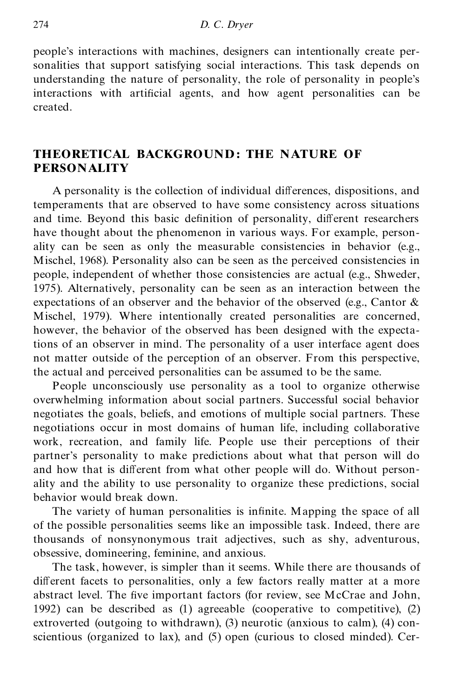people's interactions with machines, designers can intentionally create personalities that support satisfying social interactions. This task depends on understanding the nature of personality, the role of personality in people's interactions with artificial agents, and how agent personalities can be created.

#### **THEORETICAL BACKGROUND : THE NATURE OF PERSONALITY**

A personality is the collection of individual differences, dispositions, and temperaments that are observed to have some consistency across situations and time. Beyond this basic definition of personality, different researchers have thought about the phenomenon in various ways. For example, person ality can be seen as only the measurable consistencies in behavior (e.g., Mischel, 1968). Personality also can be seen as the perceived consistencies in people, independent of whether those consistencies are actual (e.g., Shweder, 1975). Alternatively, personality can be seen as an interaction between the expectations of an observer and the behavior of the observed (e.g., Cantor & Mischel, 1979). Where intentionally created personalities are concerned, however, the behavior of the observed has been designed with the expectations of an observer in mind. The personality of a user interface agent does not matter outside of the perception of an observer. From this perspective, the actual and perceived personalities can be assumed to be the same.

People unconsciously use personality as a tool to organize otherwise overwhelming information about social partners. Successful social behavior negotiates the goals, beliefs, and emotions of multiple social partners. These negotiations occur in most domains of human life, including collaborative work, recreation, and family life. People use their perceptions of their partner's personality to make predictions about what that person will do and how that is different from what other people will do. Without personality and the ability to use personality to organize these predictions, social behavior would break down.

The variety of human personalities is infinite. Mapping the space of all of the possible personalities seems like an impossible task. Indeed, there are thousands of nonsynonymous trait adjectives, such as shy, adventurous, obsessive, domineering, feminine, and anxious.

The task, however, is simpler than it seems. While there are thousands of different facets to personalities, only a few factors really matter at a more abstract level. The five important factors (for review, see McCrae and John, 1992) can be described as (1) agreeable (cooperative to competitive), (2) extroverted (outgoing to withdrawn), (3) neurotic (anxious to calm), (4) conscientious (organized to lax), and (5) open (curious to closed minded). Cer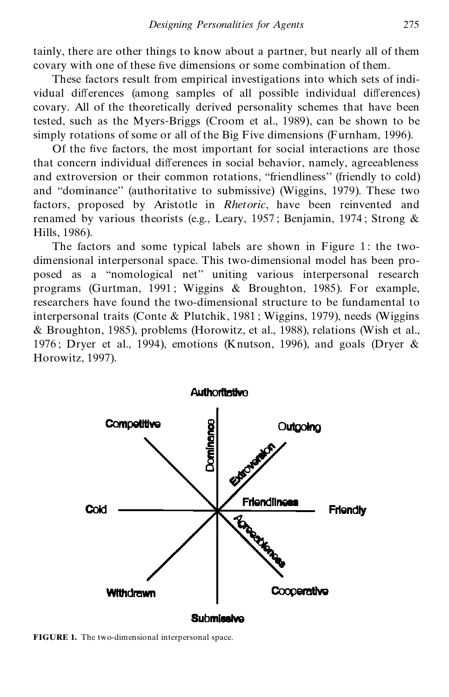tainly, there are other things to know about a partner, but nearly all of them covary with one of these five dimensions or some combination of them.

These factors result from empirical investigations into which sets of indi vidual differences (among samples of all possible individual differences) covary. All of the theoretically derived personality schemes that have been tested, such as the Myers-Briggs (Croom et al., 1989), can be shown to be simply rotations of some or all of the Big Five dimensions (Furnham, 1996).

Of the five factors, the most important for social interactions are those that concern individual differences in social behavior, namely, agreeableness and extroversion or their common rotations, ''friendliness'' (friendly to cold) and ''dominance'' (authoritative to submissive) (Wiggins, 1979). These two factors, proposed by Aristotle in *Rhetoric*, have been reinvented and renamed by various theorists (e.g., Leary, 1957 ; Benjamin, 1974 ; Strong & Hills, 1986).

The factors and some typical labels are shown in Figure 1: the twodimensional interpersonal space. This two-dimensional model has been pro posed as a ''nomological net'' uniting various interpersonal research programs (Gurtman, 1991 ; Wiggins & Broughton, 1985). For example, researchers have found the two-dimensional structure to be fundamental to interpersonal traits (Conte & Plutchik, 1981 ; Wiggins, 1979), needs (Wiggins & Broughton, 1985), problems (Horowitz, et al., 1988), relations (Wish et al., 1976; Dryer et al., 1994), emotions (Knutson, 1996), and goals (Dryer  $\&$ Horowitz, 1997).



**FIGURE 1.** The two-dimensional interpersonal space.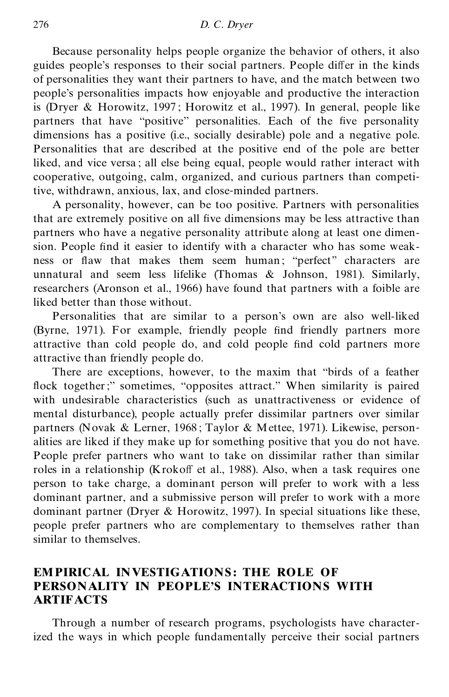Because personality helps people organize the behavior of others, it also guides people's responses to their social partners. People differ in the kinds of personalities they want their partners to have, and the match between two people's personalities impacts how enjoyable and productive the interaction is (Dryer & Horowitz, 1997 ; Horowitz et al., 1997). In general, people like partners that have "positive" personalities. Each of the five personality dimensions has a positive (i.e., socially desirable) pole and a negative pole. Personalities that are described at the positive end of the pole are better liked, and vice versa ; all else being equal, people would rather interact with cooperative, outgoing, calm, organized, and curious partners than competitive, withdrawn, anxious, lax, and close-minded partners.

A personality, however, can be too positive. Partners with personalities that are extremely positive on all five dimensions may be less attractive than partners who have a negative personality attribute along at least one dimension. People find it easier to identify with a character who has some weakness or flaw that makes them seem human; "perfect" characters are unnatural and seem less lifelike (Thomas & Johnson, 1981). Similarly, researchers (Aronson et al., 1966) have found that partners with a foible are liked better than those without.

Personalities that are similar to a person's own are also well-liked (Byrne, 1971). For example, friendly people find friendly partners more attractive than cold people do, and cold people find cold partners more attractive than friendly people do.

There are exceptions, however, to the maxim that ''birds of a feather flock together;" sometimes, "opposites attract." When similarity is paired with undesirable characteristics (such as unattractiveness or evidence of mental disturbance), people actually prefer dissimilar partners over similar partners (Novak & Lerner, 1968; Taylor & Mettee, 1971). Likewise, personalities are liked if they make up for something positive that you do not have. People prefer partners who want to take on dissimilar rather than similar roles in a relationship (Krokoff et al., 1988). Also, when a task requires one person to take charge, a dominant person will prefer to work with a less dominant partner, and a submissive person will prefer to work with a more dominant partner (Dryer & Horowitz, 1997). In special situations like these, people prefer partners who are complementary to themselves rather than similar to themselves.

#### **EMPIRICAL INVESTIGATIONS : THE ROLE OF PERSONALITY IN PEOPLE'S INTERACTIONS WITH ARTIFACTS**

Through a number of research programs, psychologists have characterized the ways in which people fundamentally perceive their social partners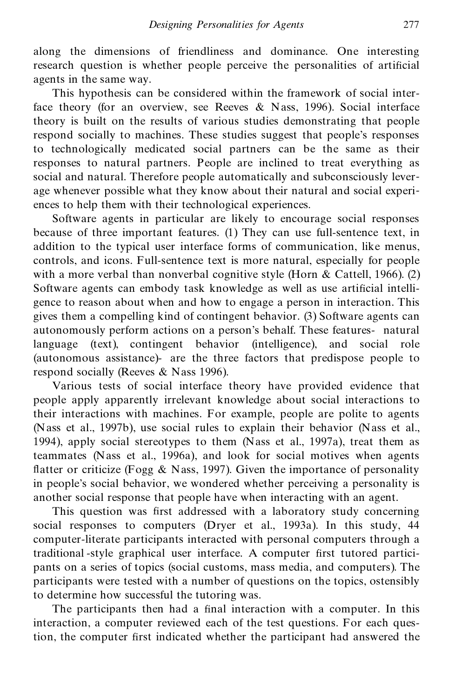along the dimensions of friendliness and dominance. One interesting research question is whether people perceive the personalities of artificial agents in the same way.

This hypothesis can be considered within the framework of social interface theory (for an overview, see Reeves & Nass, 1996). Social interface theory is built on the results of various studies demonstrating that people respond socially to machines. These studies suggest that people's responses to technologically medicated social partners can be the same as their responses to natural partners. People are inclined to treat everything as social and natural. Therefore people automatically and subconsciously lever age whenever possible what they know about their natural and social experi ences to help them with their technological experiences.

Software agents in particular are likely to encourage social responses because of three important features. (1) They can use full-sentence text, in addition to the typical user interface forms of communication, like menus, controls, and icons. Full-sentence text is more natural, especially for people with a more verbal than nonverbal cognitive style (Horn  $\&$  Cattell, 1966). (2) Software agents can embody task knowledge as well as use artificial intelligence to reason about when and how to engage a person in interaction. This gives them a compelling kind of contingent behavior. (3) Software agents can autonomously perform actions on a person's behalf. These features- natural language (text), contingent behavior (intelligence), and social role (autonomous assistance)- are the three factors that predispose people to respond socially (Reeves & Nass 1996).

Various tests of social interface theory have provided evidence that people apply apparently irrelevant knowledge about social interactions to their interactions with machines. For example, people are polite to agents (Nass et al., 1997b), use social rules to explain their behavior (Nass et al., 1994), apply social stereotypes to them (Nass et al., 1997a), treat them as teammates (Nass et al., 1996a), and look for social motives when agents flatter or criticize (Fogg  $\&$  Nass, 1997). Given the importance of personality in people's social behavior, we wondered whether perceiving a personality is another social response that people have when interacting with an agent.

This question was first addressed with a laboratory study concerning social responses to computers (Dryer et al., 1993a). In this study, 44 computer-literate participants interacted with personal computers through a traditional -style graphical user interface. A computer first tutored participants on a series of topics (social customs, mass media, and computers). The participants were tested with a number of questions on the topics, ostensibly to determine how successful the tutoring was.

The participants then had a final interaction with a computer. In this interaction, a computer reviewed each of the test questions. For each question, the computer first indicated whether the participant had answered the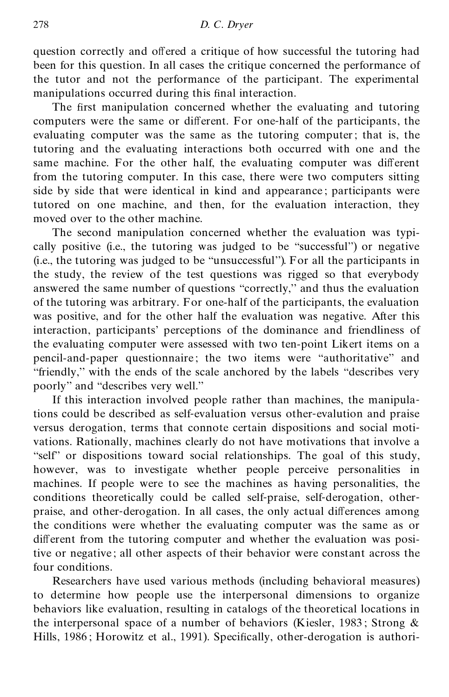question correctly and offered a critique of how successful the tutoring had been for this question. In all cases the critique concerned the performance of the tutor and not the performance of the participant. The experimental manipulations occurred during this final interaction.

The first manipulation concerned whether the evaluating and tutoring computers were the same or different. For one-half of the participants, the evaluating computer was the same as the tutoring computer; that is, the tutoring and the evaluating interactions both occurred with one and the same machine. For the other half, the evaluating computer was different from the tutoring computer. In this case, there were two computers sitting side by side that were identical in kind and appearance ; participants were tutored on one machine, and then, for the evaluation interaction, they moved over to the other machine.

The second manipulation concerned whether the evaluation was typi cally positive (i.e., the tutoring was judged to be ''successful'') or negative (i.e., the tutoring was judged to be ''unsuccessful''). For all the participants in the study, the review of the test questions was rigged so that everybody answered the same number of questions ''correctly,'' and thus the evaluation of the tutoring was arbitrary. For one-half of the participants, the evaluation was positive, and for the other half the evaluation was negative. After this interaction, participants' perceptions of the dominance and friendliness of the evaluating computer were assessed with two ten-point Likert items on a pencil-and-paper questionnaire; the two items were ''authoritative'' and ''friendly,'' with the ends of the scale anchored by the labels ''describes very poorly'' and ''describes very well.''

If this interaction involved people rather than machines, the manipulations could be described as self-evaluation versus other-evalution and praise versus derogation, terms that connote certain dispositions and social moti vations. Rationally, machines clearly do not have motivations that involve a "self" or dispositions toward social relationships. The goal of this study, however, was to investigate whether people perceive personalities in machines. If people were to see the machines as having personalities, the conditions theoretically could be called self-praise, self-derogation, other praise, and other-derogation. In all cases, the only actual differences among the conditions were whether the evaluating computer was the same as or different from the tutoring computer and whether the evaluation was positive or negative; all other aspects of their behavior were constant across the four conditions.

Researchers have used various methods (including behavioral measures) to determine how people use the interpersonal dimensions to organize behaviors like evaluation, resulting in catalogs of the theoretical locations in the interpersonal space of a number of behaviors (Kiesler, 1983; Strong  $\&$ Hills, 1986; Horowitz et al., 1991). Specifically, other-derogation is authori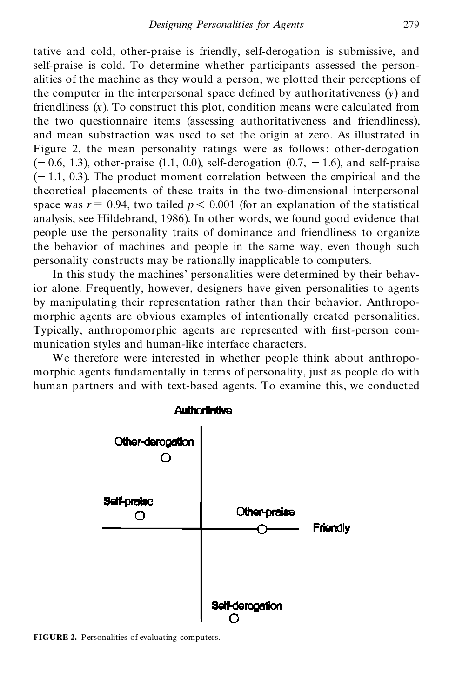tative and cold, other-praise is friendly, self-derogation is submissive, and self-praise is cold. To determine whether participants assessed the person alities of the machine as they would a person, we plotted their perceptions of the computer in the interpersonal space defined by authoritativeness  $(v)$  and friendliness  $(x)$ . To construct this plot, condition means were calculated from the two questionnaire items (assessing authoritativeness and friendliness), and mean substraction was used to set the origin at zero. As illustrated in Figure 2, the mean personality ratings were as follows: other-derogation  $(-0.6, 1.3)$ , other-praise (1.1, 0.0), self-derogation (0.7,  $-1.6$ ), and self-praise  $(-1.1, 0.3)$ . The product moment correlation between the empirical and the theoretical placements of these traits in the two-dimensional interpersonal space was  $r = 0.94$ , two tailed  $p < 0.001$  (for an explanation of the statistical analysis, see Hildebrand, 1986). In other words, we found good evidence that people use the personality traits of dominance and friendliness to organize the behavior of machines and people in the same way, even though such personality constructs may be rationally inapplicable to computers.

In this study the machines' personalities were determined by their behavior alone. Frequently, however, designers have given personalities to agents by manipulating their representation rather than their behavior. Anthropo morphic agents are obvious examples of intentionally created personalities. Typically, anthropomorphic agents are represented with first-person communication styles and human-like interface characters.

We therefore were interested in whether people think about anthropo morphic agents fundamentally in terms of personality, just as people do with human partners and with text-based agents. To examine this, we conducted



**FIGURE 2.** Personalities of evaluating computers.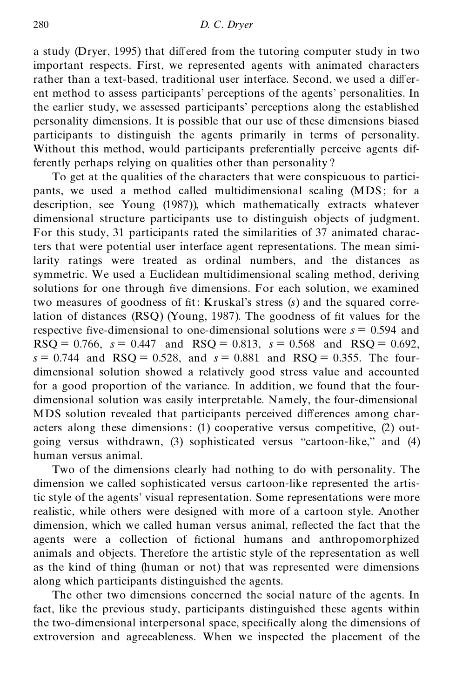a study (Dryer, 1995) that differed from the tutoring computer study in two important respects. First, we represented agents with animated characters rather than a text-based, traditional user interface. Second, we used a different method to assess participants' perceptions of the agents' personalities. In the earlier study, we assessed participants' perceptions along the established personality dimensions. It is possible that our use of these dimensions biased participants to distinguish the agents primarily in terms of personality. Without this method, would participants preferentially perceive agents differently perhaps relying on qualities other than personality ?

To get at the qualities of the characters that were conspicuous to partici pants, we used a method called multidimensional scaling (MDS; for a description, see Young (1987)), which mathematically extracts whatever dimensional structure participants use to distinguish objects of judgment. For this study, 31 participants rated the similarities of 37 animated characters that were potential user interface agent representations. The mean similarity ratings were treated as ordinal numbers, and the distances as symmetric. We used a Euclidean multidimensional scaling method, deriving solutions for one through five dimensions. For each solution, we examined two measures of goodness of fit: Kruskal's stress (s) and the squared correlation of distances  $(RSQ)$  (Young, 1987). The goodness of fit values for the respective five-dimensional to one-dimensional solutions were  $s = 0.594$  and  $RSO = 0.766$ ,  $s = 0.447$  and  $RSO = 0.813$ ,  $s = 0.568$  and  $RSO = 0.692$ ,  $s = 0.744$  and RSQ = 0.528, and  $s = 0.881$  and RSQ = 0.355. The fourdimensional solution showed a relatively good stress value and accounted for a good proportion of the variance. In addition, we found that the four dimensional solution was easily interpretable. Namely, the four-dimensional MDS solution revealed that participants perceived differences among characters along these dimensions: (1) cooperative versus competitive, (2) out going versus withdrawn, (3) sophisticated versus "cartoon-like," and (4) human versus animal.

Two of the dimensions clearly had nothing to do with personality. The dimension we called sophisticated versus cartoon-like represented the artistic style of the agents' visual representation. Some representations were more realistic, while others were designed with more of a cartoon style. Another dimension, which we called human versus animal, reflected the fact that the agents were a collection of fictional humans and anthropomorphized animals and objects. Therefore the artistic style of the representation as well as the kind of thing (human or not) that was represented were dimensions along which participants distinguished the agents.

The other two dimensions concerned the social nature of the agents. In fact, like the previous study, participants distinguished these agents within the two-dimensional interpersonal space, specifically along the dimensions of extroversion and agreeableness. When we inspected the placement of the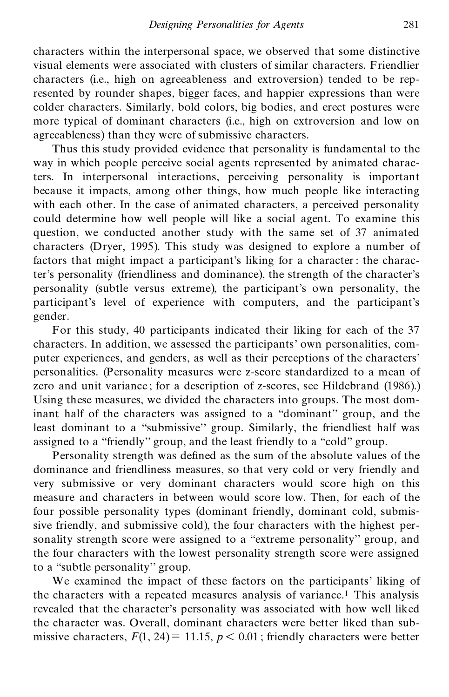characters within the interpersonal space, we observed that some distinctive visual elements were associated with clusters of similar characters. Friendlier characters (i.e., high on agreeableness and extroversion) tended to be represented by rounder shapes, bigger faces, and happier expressions than were colder characters. Similarly, bold colors, big bodies, and erect postures were more typical of dominant characters (i.e., high on extroversion and low on agreeableness) than they were of submissive characters.

Thus this study provided evidence that personality is fundamental to the way in which people perceive social agents represented by animated characters. In interpersonal interactions, perceiving personality is important because it impacts, among other things, how much people like interacting with each other. In the case of animated characters, a perceived personality could determine how well people will like a social agent. To examine this question, we conducted another study with the same set of 37 animated characters (Dryer, 1995). This study was designed to explore a number of factors that might impact a participant's liking for a character: the character's personality (friendliness and dominance), the strength of the character's personality (subtle versus extreme), the participant's own personality, the participant's level of experience with computers, and the participant's gender.

For this study, 40 participants indicated their liking for each of the 37 characters. In addition, we assessed the participants' own personalities, com puter experiences, and genders, as well as their perceptions of the characters' personalities. (Personality measures were z-score standardized to a mean of zero and unit variance ; for a description of z-scores, see Hildebrand (1986).) Using these measures, we divided the characters into groups. The most dominant half of the characters was assigned to a ''dominant'' group, and the least dominant to a ''submissive'' group. Similarly, the friendliest half was assigned to a ''friendly'' group, and the least friendly to a ''cold'' group.

Personality strength was defined as the sum of the absolute values of the dominance and friendliness measures, so that very cold or very friendly and very submissive or very dominant characters would score high on this measure and characters in between would score low. Then, for each of the four possible personality types (dominant friendly, dominant cold, submissive friendly, and submissive cold), the four characters with the highest personality strength score were assigned to a "extreme personality" group, and the four characters with the lowest personality strength score were assigned to a ''subtle personality'' group.

We examined the impact of these factors on the participants' liking of the characters with a repeated measures analysis of variance.<sup>1</sup> This analysis revealed that the character's personality was associated with how well liked the character was. Overall, dominant characters were better liked than sub missive characters,  $F(1, 24) = 11.15$ ,  $p < 0.01$ ; friendly characters were better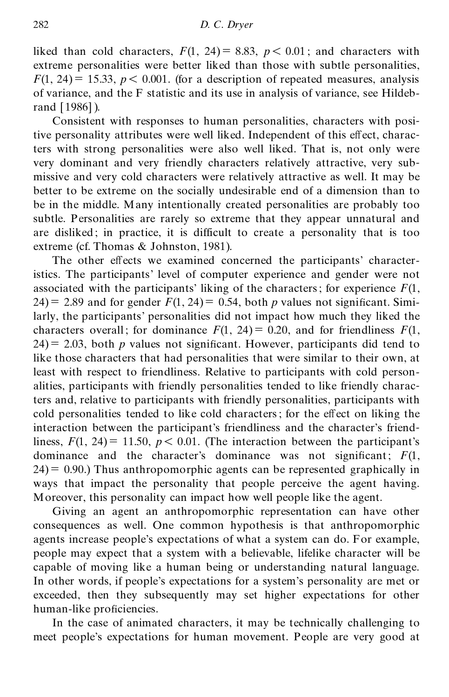liked than cold characters,  $F(1, 24) = 8.83$ ,  $p < 0.01$ ; and characters with extreme personalities were better liked than those with subtle personalities,  $F(1, 24) = 15.33$ ,  $p < 0.001$ . (for a description of repeated measures, analysis of variance, and the F statistic and its use in analysis of variance, see Hildebrand [1986]).

Consistent with responses to human personalities, characters with positive personality attributes were well liked. Independent of this effect, characters with strong personalities were also well liked. That is, not only were very dominant and very friendly characters relatively attractive, very sub missive and very cold characters were relatively attractive as well. It may be better to be extreme on the socially undesirable end of a dimension than to be in the middle. Many intentionally created personalities are probably too subtle. Personalities are rarely so extreme that they appear unnatural and are disliked ; in practice, it is difficult to create a personality that is too extreme (cf. Thomas & Johnston, 1981).

The other effects we examined concerned the participants' characteristics. The participants' level of computer experience and gender were not associated with the participants' liking of the characters; for experience  $F(1)$ , 24) = 2.89 and for gender  $F(1, 24) = 0.54$ , both *p* values not significant. Similarly, the participants' personalities did not impact how much they liked the characters overall; for dominance  $F(1, 24) = 0.20$ , and for friendliness  $F(1, 24) = 0.20$  $24$ ) = 2.03, both *p* values not significant. However, participants did tend to like those characters that had personalities that were similar to their own, at least with respect to friendliness. Relative to participants with cold person alities, participants with friendly personalities tended to like friendly characters and, relative to participants with friendly personalities, participants with cold personalities tended to like cold characters; for the effect on liking the interaction between the participant's friendliness and the character's friendliness,  $F(1, 24) = 11.50$ ,  $p < 0.01$ . (The interaction between the participant's dominance and the character's dominance was not significant;  $F(1)$ ,  $24$ ) = 0.90.) Thus anthropomorphic agents can be represented graphically in ways that impact the personality that people perceive the agent having. Moreover, this personality can impact how well people like the agent.

Giving an agent an anthropomorphic representation can have other consequences as well. One common hypothesis is that anthropomorphic agents increase people's expectations of what a system can do. For example, people may expect that a system with a believable, lifelike character will be capable of moving like a human being or understanding natural language. In other words, if people's expectations for a system's personality are met or exceeded, then they subsequently may set higher expectations for other human-like proficiencies.

In the case of animated characters, it may be technically challenging to meet people's expectations for human movement. People are very good at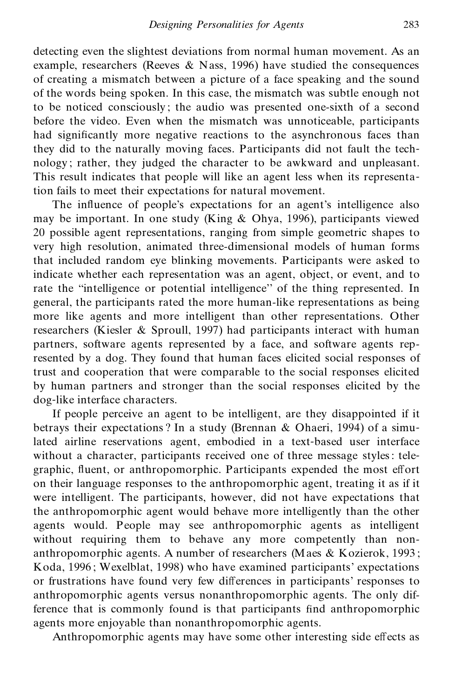detecting even the slightest deviations from normal human movement. As an example, researchers (Reeves & Nass, 1996) have studied the consequences of creating a mismatch between a picture of a face speaking and the sound of the words being spoken. In this case, the mismatch was subtle enough not to be noticed consciously ; the audio was presented one-sixth of a second before the video. Even when the mismatch was unnoticeable, participants had significantly more negative reactions to the asynchronous faces than they did to the naturally moving faces. Participants did not fault the tech nology ; rather, they judged the character to be awkward and unpleasant. This result indicates that people will like an agent less when its representation fails to meet their expectations for natural movement.

The influence of people's expectations for an agent's intelligence also may be important. In one study (King & Ohya, 1996), participants viewed 20 possible agent representations, ranging from simple geometric shapes to very high resolution, animated three-dimensional models of human forms that included random eye blinking movements. Participants were asked to indicate whether each representation was an agent, object, or event, and to rate the ''intelligence or potential intelligence'' of the thing represented. In general, the participants rated the more human-like representations as being more like agents and more intelligent than other representations. Other researchers (Kiesler & Sproull, 1997) had participants interact with human partners, software agents represented by a face, and software agents represented by a dog. They found that human faces elicited social responses of trust and cooperation that were comparable to the social responses elicited by human partners and stronger than the social responses elicited by the dog-like interface characters.

If people perceive an agent to be intelligent, are they disappointed if it betrays their expectations ? In a study (Brennan & Ohaeri, 1994) of a simulated airline reservations agent, embodied in a text-based user interface without a character, participants received one of three message styles: tele graphic, fluent, or anthropomorphic. Participants expended the most effort on their language responses to the anthropomorphic agent, treating it as if it were intelligent. The participants, however, did not have expectations that the anthropomorphic agent would behave more intelligently than the other agents would. People may see anthropomorphic agents as intelligent without requiring them to behave any more competently than nonanthropomorphic agents. A number of researchers (Maes & Kozierok, 1993 ; Koda, 1996 ; Wexelblat, 1998) who have examined participants' expectations or frustrations have found very few differences in participants' responses to anthropomorphic agents versus nonanthropomorphic agents. The only difference that is commonly found is that participants find anthropomorphic agents more enjoyable than nonanthropomorphic agents.

Anthropomorphic agents may have some other interesting side effects as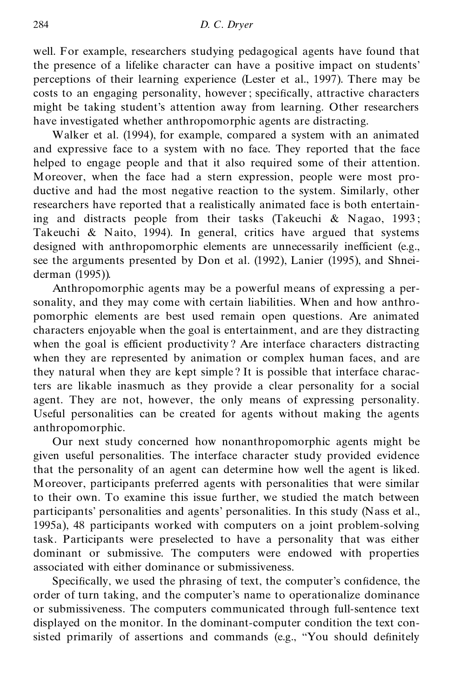well. For example, researchers studying pedagogical agents have found that the presence of a lifelike character can have a positive impact on students' perceptions of their learning experience (Lester et al., 1997). There may be costs to an engaging personality, however; specifically, attractive characters might be taking student's attention away from learning. Other researchers have investigated whether anthropomorphic agents are distracting.

Walker et al. (1994), for example, compared a system with an animated and expressive face to a system with no face. They reported that the face helped to engage people and that it also required some of their attention. Moreover, when the face had a stern expression, people were most pro ductive and had the most negative reaction to the system. Similarly, other researchers have reported that a realistically animated face is both entertaining and distracts people from their tasks (Takeuchi & Nagao, 1993 ; Takeuchi & Naito, 1994). In general, critics have argued that systems designed with anthropomorphic elements are unnecessarily inefficient (e.g., see the arguments presented by Don et al. (1992), Lanier (1995), and Shnei derman (1995)).

Anthropomorphic agents may be a powerful means of expressing a personality, and they may come with certain liabilities. When and how anthro pomorphic elements are best used remain open questions. Are animated characters enjoyable when the goal is entertainment, and are they distracting when the goal is efficient productivity? Are interface characters distracting when they are represented by animation or complex human faces, and are they natural when they are kept simple? It is possible that interface characters are likable inasmuch as they provide a clear personality for a social agent. They are not, however, the only means of expressing personality. Useful personalities can be created for agents without making the agents anthropomorphic.

Our next study concerned how nonanthropomorphic agents might be given useful personalities. The interface character study provided evidence that the personality of an agent can determine how well the agent is liked. Moreover, participants preferred agents with personalities that were similar to their own. To examine this issue further, we studied the match between participants' personalities and agents' personalities. In this study (Nass et al., 1995a), 48 participants worked with computers on a joint problem-solving task. Participants were preselected to have a personality that was either dominant or submissive. The computers were endowed with properties associated with either dominance or submissiveness.

Specifically, we used the phrasing of text, the computer's confidence, the order of turn taking, and the computer's name to operationalize dominance or submissiveness. The computers communicated through full-sentence text displayed on the monitor. In the dominant-computer condition the text consisted primarily of assertions and commands (e.g., "You should definitely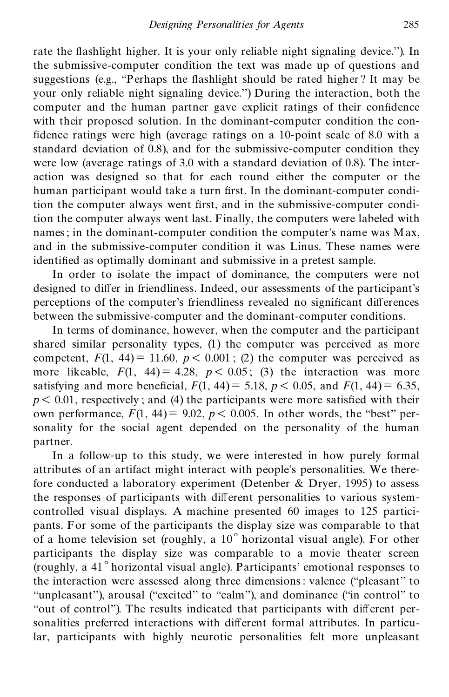rate the flashlight higher. It is your only reliable night signaling device."). In the submissive-computer condition the text was made up of questions and suggestions (e.g., "Perhaps the flashlight should be rated higher? It may be your only reliable night signaling device.'') During the interaction, both the computer and the human partner gave explicit ratings of their confidence with their proposed solution. In the dominant-computer condition the con fidence ratings were high (average ratings on a 10-point scale of 8.0 with a standard deviation of 0.8), and for the submissive-computer condition they were low (average ratings of 3.0 with a standard deviation of 0.8). The inter action was designed so that for each round either the computer or the human participant would take a turn first. In the dominant-computer condition the computer always went first, and in the submissive-computer condition the computer always went last. Finally, the computers were labeled with names; in the dominant-computer condition the computer's name was Max, and in the submissive-computer condition it was Linus. These names were identified as optimally dominant and submissive in a pretest sample.

In order to isolate the impact of dominance, the computers were not designed to differ in friendliness. Indeed, our assessments of the participant's perceptions of the computer's friendliness revealed no significant differences between the submissive-computer and the dominant-computer conditions.

In terms of dominance, however, when the computer and the participant shared similar personality types, (1) the computer was perceived as more competent,  $F(1, 44) = 11.60$ ,  $p < 0.001$ ; (2) the computer was perceived as more likeable,  $F(1, 44) = 4.28$ ,  $p < 0.05$ ; (3) the interaction was more satisfying and more beneficial,  $F(1, 44) = 5.18$ ,  $p < 0.05$ , and  $F(1, 44) = 6.35$ ,  $p<$  0.01, respectively; and (4) the participants were more satisfied with their own performance,  $F(1, 44) = 9.02$ ,  $p < 0.005$ . In other words, the "best" personality for the social agent depended on the personality of the human partner.

In a follow-up to this study, we were interested in how purely formal attributes of an artifact might interact with people's personalities. We therefore conducted a laboratory experiment (Detenber & Dryer, 1995) to assess the responses of participants with different personalities to various systemcontrolled visual displays. A machine presented 60 images to 125 partici pants. For some of the participants the display size was comparable to that of a home television set (roughly, a 10° horizontal visual angle). For other participants the display size was comparable to a movie theater screen (roughly, a 41° horizontal visual angle). Participants' emotional responses to the interaction were assessed along three dimensions: valence (''pleasant'' to "unpleasant"), arousal ("excited" to "calm"), and dominance ("in control" to "out of control"). The results indicated that participants with different personalities preferred interactions with different formal attributes. In particular, participants with highly neurotic personalities felt more unpleasant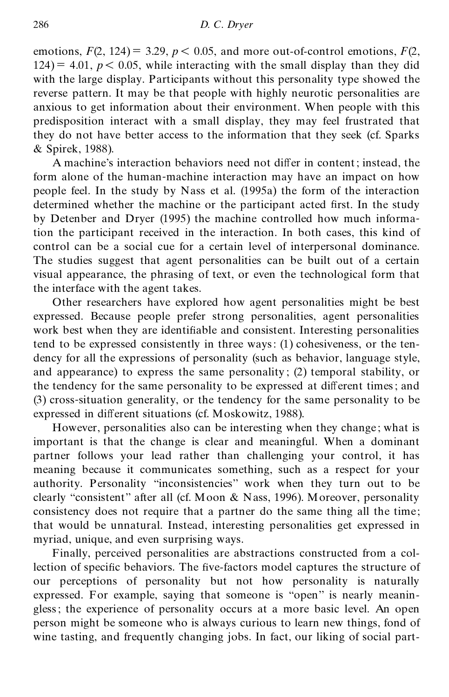emotions,  $F(2, 124) = 3.29$ ,  $p < 0.05$ , and more out-of-control emotions,  $F(2, 124)$  $124$ ) = 4.01,  $p$  < 0.05, while interacting with the small display than they did with the large display. Participants without this personality type showed the reverse pattern. It may be that people with highly neurotic personalities are anxious to get information about their environment. When people with this predisposition interact with a small display, they may feel frustrated that they do not have better access to the information that they seek (cf. Sparks & Spirek, 1988).

A machine's interaction behaviors need not differ in content; instead, the form alone of the human-machine interaction may have an impact on how people feel. In the study by Nass et al. (1995a) the form of the interaction determined whether the machine or the participant acted first. In the study by Detenber and Dryer (1995) the machine controlled how much information the participant received in the interaction. In both cases, this kind of control can be a social cue for a certain level of interpersonal dominance. The studies suggest that agent personalities can be built out of a certain visual appearance, the phrasing of text, or even the technological form that the interface with the agent takes.

Other researchers have explored how agent personalities might be best expressed. Because people prefer strong personalities, agent personalities work best when they are identifiable and consistent. Interesting personalities tend to be expressed consistently in three ways: (1) cohesiveness, or the ten dency for all the expressions of personality (such as behavior, language style, and appearance) to express the same personality ; (2) temporal stability, or the tendency for the same personality to be expressed at different times; and (3) cross-situation generality, or the tendency for the same personality to be expressed in different situations (cf. Moskowitz, 1988).

However, personalities also can be interesting when they change; what is important is that the change is clear and meaningful. When a dominant partner follows your lead rather than challenging your control, it has meaning because it communicates something, such as a respect for your authority. Personality ''inconsistencies'' work when they turn out to be clearly ''consistent'' after all (cf. Moon & Nass, 1996). Moreover, personality consistency does not require that a partner do the same thing all the time; that would be unnatural. Instead, interesting personalities get expressed in myriad, unique, and even surprising ways.

Finally, perceived personalities are abstractions constructed from a collection of specific behaviors. The five-factors model captures the structure of our perceptions of personality but not how personality is naturally expressed. For example, saying that someone is ''open'' is nearly meanin gless; the experience of personality occurs at a more basic level. An open person might be someone who is always curious to learn new things, fond of wine tasting, and frequently changing jobs. In fact, our liking of social part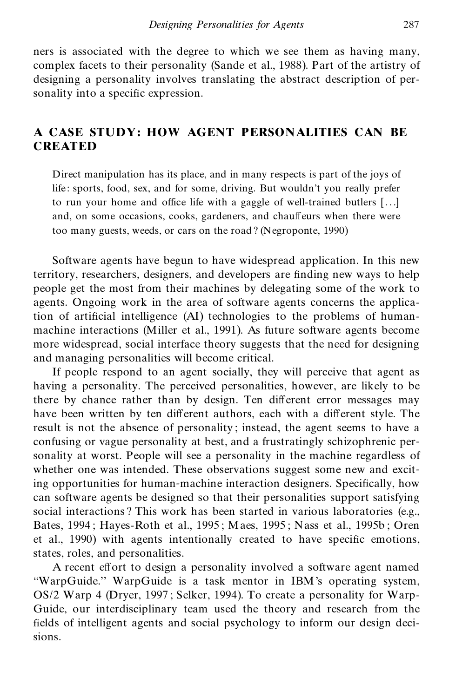ners is associated with the degree to which we see them as having many, complex facets to their personality (Sande et al., 1988). Part of the artistry of designing a personality involves translating the abstract description of personality into a specific expression.

### **A CASE STUDY: HOW AGENT PERSONALITIES CAN BE CREATED**

Direct manipulation has its place, and in many respects is part of the joys of life: sports, food, sex, and for some, driving. But wouldn't you really prefer to run your home and office life with a gaggle of well-trained butlers [. . .] and, on some occasions, cooks, gardeners, and chauffeurs when there were too many guests, weeds, or cars on the road ? (Negroponte, 1990)

Software agents have begun to have widespread application. In this new territory, researchers, designers, and developers are finding new ways to help people get the most from their machines by delegating some of the work to agents. Ongoing work in the area of software agents concerns the application of artificial intelligence (AI) technologies to the problems of humanmachine interactions (Miller et al., 1991). As future software agents become more widespread, social interface theory suggests that the need for designing and managing personalities will become critical.

If people respond to an agent socially, they will perceive that agent as having a personality. The perceived personalities, however, are likely to be there by chance rather than by design. Ten different error messages may have been written by ten different authors, each with a different style. The result is not the absence of personality ; instead, the agent seems to have a confusing or vague personality at best, and a frustratingly schizophrenic personality at worst. People will see a personality in the machine regardless of whether one was intended. These observations suggest some new and exciting opportunities for human-machine interaction designers. Specifically, how can software agents be designed so that their personalities support satisfying social interactions ? This work has been started in various laboratories (e.g., Bates, 1994 ; Hayes-Roth et al., 1995 ; Maes, 1995 ; Nass et al., 1995b ; Oren et al., 1990) with agents intentionally created to have specific emotions, states, roles, and personalities.

A recent effort to design a personality involved a software agent named ''WarpGuide.'' WarpGuide is a task mentor in IBM's operating system, OS/2 Warp 4 (Dryer, 1997 ; Selker, 1994). To create a personality for Warp- Guide, our interdisciplinary team used the theory and research from the fields of intelligent agents and social psychology to inform our design decisions.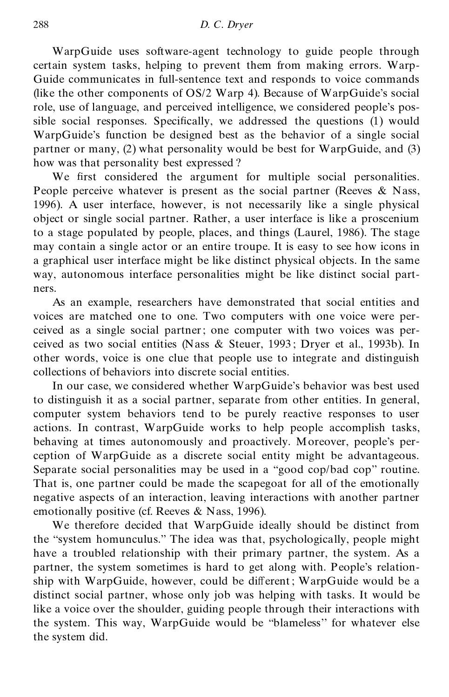WarpGuide uses software-agent technology to guide people through certain system tasks, helping to prevent them from making errors. Warp- Guide communicates in full-sentence text and responds to voice commands (like the other components of OS/2 Warp 4). Because of WarpGuide's social role, use of language, and perceived intelligence, we considered people's possible social responses. Specifically, we addressed the questions  $(1)$  would WarpGuide's function be designed best as the behavior of a single social partner or many, (2) what personality would be best for WarpGuide, and (3) how was that personality best expressed ?

We first considered the argument for multiple social personalities. People perceive whatever is present as the social partner (Reeves  $\&$  Nass, 1996). A user interface, however, is not necessarily like a single physical object or single social partner. Rather, a user interface is like a proscenium to a stage populated by people, places, and things (Laurel, 1986). The stage may contain a single actor or an entire troupe. It is easy to see how icons in a graphical user interface might be like distinct physical objects. In the same way, autonomous interface personalities might be like distinct social part ners.

As an example, researchers have demonstrated that social entities and voices are matched one to one. Two computers with one voice were per ceived as a single social partner; one computer with two voices was per ceived as two social entities (Nass & Steuer, 1993 ; Dryer et al., 1993b). In other words, voice is one clue that people use to integrate and distinguish collections of behaviors into discrete social entities.

In our case, we considered whether WarpGuide's behavior was best used to distinguish it as a social partner, separate from other entities. In general, computer system behaviors tend to be purely reactive responses to user actions. In contrast, WarpGuide works to help people accomplish tasks, behaving at times autonomously and proactively. Moreover, people's per ception of WarpGuide as a discrete social entity might be advantageous. Separate social personalities may be used in a ''good cop/bad cop'' routine. That is, one partner could be made the scapegoat for all of the emotionally negative aspects of an interaction, leaving interactions with another partner emotionally positive (cf. Reeves & Nass, 1996).

We therefore decided that WarpGuide ideally should be distinct from the ''system homunculus.'' The idea was that, psychologically, people might have a troubled relationship with their primary partner, the system. As a partner, the system sometimes is hard to get along with. People's relationship with WarpGuide, however, could be different; WarpGuide would be a distinct social partner, whose only job was helping with tasks. It would be like a voice over the shoulder, guiding people through their interactions with the system. This way, WarpGuide would be ''blameless'' for whatever else the system did.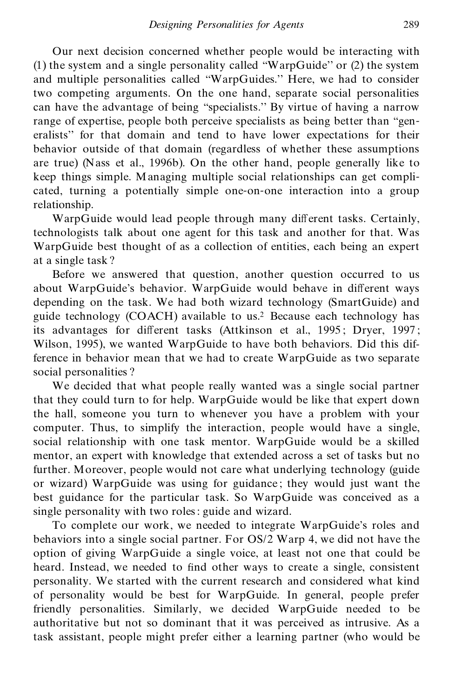Our next decision concerned whether people would be interacting with (1) the system and a single personality called ''WarpGuide'' or (2) the system and multiple personalities called ''WarpGuides.'' Here, we had to consider two competing arguments. On the one hand, separate social personalities can have the advantage of being ''specialists.'' By virtue of having a narrow range of expertise, people both perceive specialists as being better than "generalists'' for that domain and tend to have lower expectations for their behavior outside of that domain (regardless of whether these assumptions are true) (Nass et al., 1996b). On the other hand, people generally like to keep things simple. Managing multiple social relationships can get compli cated, turning a potentially simple one-on-one interaction into a group relationship.

WarpGuide would lead people through many different tasks. Certainly, technologists talk about one agent for this task and another for that. Was WarpGuide best thought of as a collection of entities, each being an expert at a single task ?

Before we answered that question, another question occurred to us about WarpGuide's behavior. WarpGuide would behave in different ways depending on the task. We had both wizard technology (SmartGuide) and guide technology (COACH) available to us.<sup>2</sup> Because each technology has its advantages for different tasks (Attkinson et al., 1995; Dryer, 1997; Wilson, 1995), we wanted WarpGuide to have both behaviors. Did this difference in behavior mean that we had to create WarpGuide as two separate social personalities ?

We decided that what people really wanted was a single social partner that they could turn to for help. WarpGuide would be like that expert down the hall, someone you turn to whenever you have a problem with your computer. Thus, to simplify the interaction, people would have a single, social relationship with one task mentor. WarpGuide would be a skilled mentor, an expert with knowledge that extended across a set of tasks but no further. Moreover, people would not care what underlying technology (guide or wizard) WarpGuide was using for guidance ; they would just want the best guidance for the particular task. So WarpGuide was conceived as a single personality with two roles: guide and wizard.

To complete our work, we needed to integrate WarpGuide's roles and behaviors into a single social partner. For OS/2 Warp 4, we did not have the option of giving WarpGuide a single voice, at least not one that could be heard. Instead, we needed to find other ways to create a single, consistent personality. We started with the current research and considered what kind of personality would be best for WarpGuide. In general, people prefer friendly personalities. Similarly, we decided WarpGuide needed to be authoritative but not so dominant that it was perceived as intrusive. As a task assistant, people might prefer either a learning partner (who would be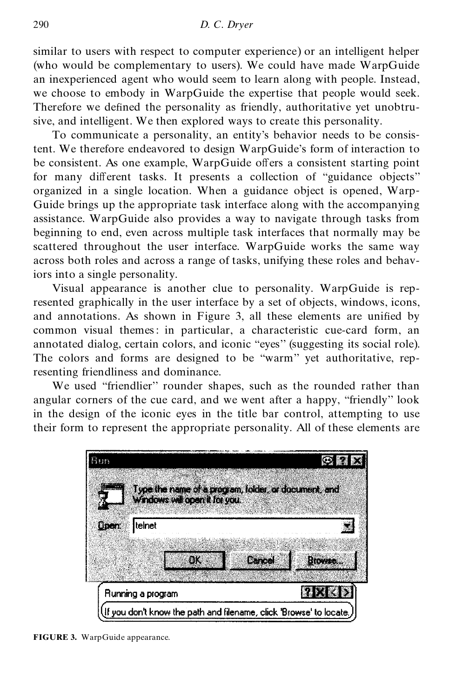similar to users with respect to computer experience) or an intelligent helper (who would be complementary to users). We could have made WarpGuide an inexperienced agent who would seem to learn along with people. Instead, we choose to embody in WarpGuide the expertise that people would seek. Therefore we defined the personality as friendly, authoritative yet unobtrusive, and intelligent. We then explored ways to create this personality.

To communicate a personality, an entity's behavior needs to be consistent. We therefore endeavored to design WarpGuide's form of interaction to be consistent. As one example, WarpGuide offers a consistent starting point for many different tasks. It presents a collection of "guidance objects" organized in a single location. When a guidance object is opened, Warp- Guide brings up the appropriate task interface along with the accompanying assistance. WarpGuide also provides a way to navigate through tasks from beginning to end, even across multiple task interfaces that normally may be scattered throughout the user interface. WarpGuide works the same way across both roles and across a range of tasks, unifying these roles and behaviors into a single personality.

Visual appearance is another clue to personality. WarpGuide is represented graphically in the user interface by a set of objects, windows, icons, and annotations. As shown in Figure 3, all these elements are unified by common visual themes: in particular, a characteristic cue-card form, an annotated dialog, certain colors, and iconic "eyes" (suggesting its social role). The colors and forms are designed to be ''warm'' yet authoritative, representing friendliness and dominance.

We used "friendlier" rounder shapes, such as the rounded rather than angular corners of the cue card, and we went after a happy, ''friendly'' look in the design of the iconic eyes in the title bar control, attempting to use their form to represent the appropriate personality. All of these elements are

| មី៖៖៖ ទ                                                             |                         |
|---------------------------------------------------------------------|-------------------------|
| Type the name of a program, folder, or document, and                |                         |
| Windows will open it for you.                                       |                         |
| <b>Qpen</b><br>Itelnet                                              |                         |
|                                                                     |                         |
| ÐK                                                                  | Cancel<br><b>Browse</b> |
| Running a program                                                   |                         |
| If you don't know the path and filename, click 'Browse' to locate., |                         |

**FIGURE 3.** WarpGuide appearance.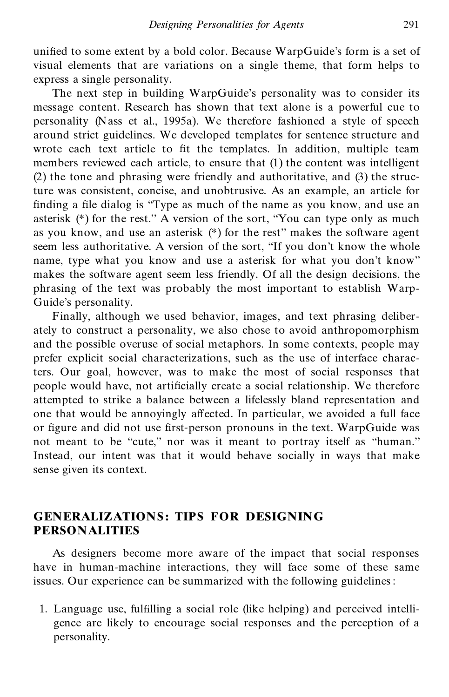unified to some extent by a bold color. Because WarpGuide's form is a set of visual elements that are variations on a single theme, that form helps to express a single personality.

The next step in building WarpGuide's personality was to consider its message content. Research has shown that text alone is a powerful cue to personality (Nass et al., 1995a). We therefore fashioned a style of speech around strict guidelines. We developed templates for sentence structure and wrote each text article to fit the templates. In addition, multiple team members reviewed each article, to ensure that (1) the content was intelligent (2) the tone and phrasing were friendly and authoritative, and (3) the structure was consistent, concise, and unobtrusive. As an example, an article for finding a file dialog is "Type as much of the name as you know, and use an asterisk (\*) for the rest.'' A version of the sort, ''You can type only as much as you know, and use an asterisk (\*) for the rest'' makes the software agent seem less authoritative. A version of the sort, ''If you don't know the whole name, type what you know and use a asterisk for what you don't know'' makes the software agent seem less friendly. Of all the design decisions, the phrasing of the text was probably the most important to establish Warp- Guide's personality.

Finally, although we used behavior, images, and text phrasing deliber ately to construct a personality, we also chose to avoid anthropomorphism and the possible overuse of social metaphors. In some contexts, people may prefer explicit social characterizations, such as the use of interface characters. Our goal, however, was to make the most of social responses that people would have, not artificially create a social relationship. We therefore attempted to strike a balance between a lifelessly bland representation and one that would be annoyingly affected. In particular, we avoided a full face or figure and did not use first-person pronouns in the text. WarpGuide was not meant to be "cute," nor was it meant to portray itself as "human." Instead, our intent was that it would behave socially in ways that make sense given its context.

#### **GENERALIZATIONS : TIPS FOR DESIGNING PERSONALITIES**

As designers become more aware of the impact that social responses have in human-machine interactions, they will face some of these same issues. Our experience can be summarized with the following guidelines:

1. Language use, fulfilling a social role (like helping) and perceived intelligence are likely to encourage social responses and the perception of a personality.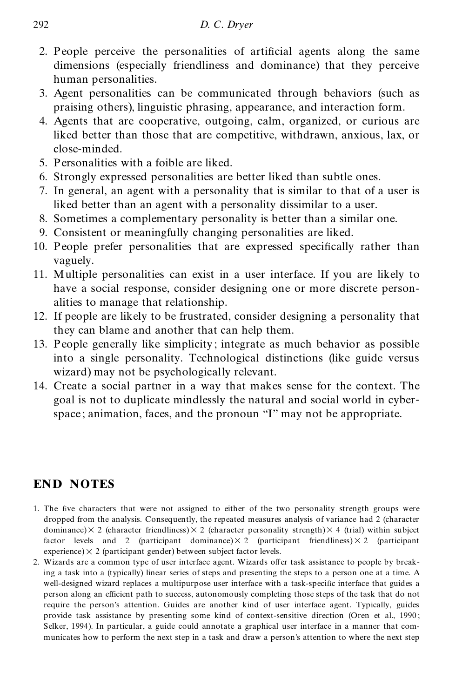- 2. People perceive the personalities of artificial agents along the same dimensions (especially friendliness and dominance) that they perceive human personalities.
- 3. Agent personalities can be communicated through behaviors (such as praising others), linguistic phrasing, appearance, and interaction form.
- 4. Agents that are cooperative, outgoing, calm, organized, or curious are liked better than those that are competitive, withdrawn, anxious, lax, or close-minded.
- 5. Personalities with a foible are liked.
- 6. Strongly expressed personalities are better liked than subtle ones.
- 7. In general, an agent with a personality that is similar to that of a user is liked better than an agent with a personality dissimilar to a user.
- 8. Sometimes a complementary personality is better than a similar one.
- 9. Consistent or meaningfully changing personalities are liked.
- 10. People prefer personalities that are expressed specifically rather than vaguely.
- 11. Multiple personalities can exist in a user interface. If you are likely to have a social response, consider designing one or more discrete person alities to manage that relationship.
- 12. If people are likely to be frustrated, consider designing a personality that they can blame and another that can help them.
- 13. People generally like simplicity ; integrate as much behavior as possible into a single personality. Technological distinctions (like guide versus wizard) may not be psychologically relevant.
- 14. Create a social partner in a way that makes sense for the context. The goal is not to duplicate mindlessly the natural and social world in cyberspace; animation, faces, and the pronoun "I" may not be appropriate.

## **END NOTES**

- 1. The five characters that were not assigned to either of the two personality strength groups were dropped from the analysis. Consequently, the repeated measures analysis of variance had 2 (character dominance) $\times$  2 (character friendliness) $\times$  2 (character personality strength) $\times$  4 (trial) within subject factor levels and 2 (participant dominance) $\times$  2 (participant friendliness) $\times$  2 (participant experience) $\times$  2 (participant gender) between subject factor levels.
- 2. Wizards are a common type of user interface agent. Wizards offer task assistance to people by breaking a task into a (typically) linear series of steps and presenting the steps to a person one at a time. A well-designed wizard replaces a multipurpose user interface with a task-specific interface that guides a person along an efficient path to success, autonomously completing those steps of the task that do not require the person's attention. Guides are another kind of user interface agent. Typically, guides provide task assistance by presenting some kind of context-sensitive direction (Oren et al., 1990; Selker, 1994). In particular, a guide could annotate a graphical user interface in a manner that com municates how to perform the next step in a task and draw a person's attention to where the next step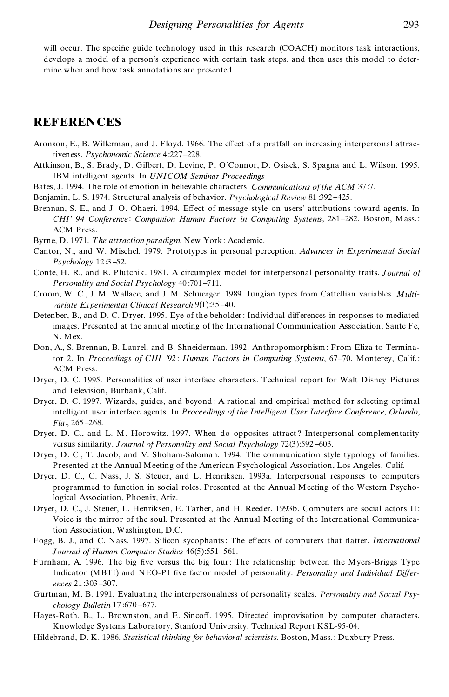will occur. The specific guide technology used in this research  $(COACH)$  monitors task interactions, develops a model of a person's experience with certain task steps, and then uses this model to deter mine when and how task annotations are presented.

#### **REFERENCES**

- Aronson, E., B. Willerman, and J. Floyd. 1966. The effect of a pratfall on increasing interpersonal attractiveness. *Psychonomic Science* 4:227-228.
- Attkinson, B., S. Brady, D. Gilbert, D. Levine, P. O'Connor, D. Osisek, S. Spagna and L. Wilson. 1995. IBM intelligent agents. In *UNICOM Seminar Proceedings*.
- Bates, J. 1994. The role of emotion in believable characters. *Communications of the ACM* 37:7.
- Benjamin, L. S. 1974. Structural analysis of behavior. *Psychological Review* 81 :392 425.
- Brennan, S. E., and J. O. Ohaeri. 1994. Effect of message style on users' attributions toward agents. In *CHI' 94 Conference* : *Companion Human Factors in Computing Systems*, 281 282. Boston, Mass.: ACM Press.
- Byrne, D. 1971. *The attraction paradigm*. New York : Academic.
- Cantor, N., and W. Mischel. 1979. Prototypes in personal perception. *Advances in Experimental Social Psychology* 12:3-52.
- Conte, H. R., and R. Plutchik. 1981. A circumplex model for interpersonal personality traits. *Journal of Personality and Social Psychology* 40 :701 711.
- Croom, W. C., J. M. Wallace, and J. M. Schuerger. 1989. Jungian types from Cattellian variables. *Multi variate Experimental Clinical Research* 9(1):35-40.
- Detenber, B., and D. C. Dryer. 1995. Eye of the beholder: Individual differences in responses to mediated images. Presented at the annual meeting of the International Communication Association, Sante Fe, N. Mex.
- Don, A., S. Brennan, B. Laurel, and B. Shneiderman. 1992. Anthropomorphism : From Eliza to Terminator 2. In *Proceedings of CHI '92* : *Human Factors in Computing Systems*, 67 70. Monterey, Calif.: ACM Press.
- Dryer, D. C. 1995. Personalities of user interface characters. Technical report for Walt Disney Pictures and Television, Burbank, Calif.
- Dryer, D. C. 1997. Wizards, guides, and beyond : A rational and empirical method for selecting optimal intelligent user interface agents. In *Proceedings of the Intelligent User Interface Conference*, *Orlando*, *Fla.*, 265-268.
- Dryer, D. C., and L. M. Horowitz. 1997. When do opposites attract ? Interpersonal complementarity versus similarity. *J ournal of Personality and Social Psychology* 72(3):592-603.
- Dryer, D. C., T. Jacob, and V. Shoham-Saloman. 1994. The communication style typology of families. Presented at the Annual Meeting of the American Psychological Association, Los Angeles, Calif.
- Dryer, D. C., C. Nass, J. S. Steuer, and L. Henriksen. 1993a. Interpersonal responses to computers programmed to function in social roles. Presented at the Annual Meeting of the Western Psychological Association, Phoenix, Ariz.
- Dryer, D. C., J. Steuer, L. Henriksen, E. Tarber, and H. Reeder. 1993b. Computers are social actors II: Voice is the mirror of the soul. Presented at the Annual Meeting of the International Communication Association, Washington, D.C.
- Fogg, B. J., and C. Nass. 1997. Silicon sycophants: The effects of computers that flatter. *International Journal of Human*-*Computer Studies* 46(5):551 561.
- Furnham, A. 1996. The big five versus the big four: The relationship between the Myers-Briggs Type Indicator (MBTI) and NEO-PI five factor model of personality. Personality and Individual Differences 21:303-307.
- Gurtman, M. B. 1991. Evaluating the interpersonalness of personality scales. *Personality and Social Psy chology Bulletin* 17:670-677.
- Hayes-Roth, B., L. Brownston, and E. Sincoff. 1995. Directed improvisation by computer characters. Knowledge Systems Laboratory, Stanford University, Technical Report KSL-95-04.
- Hildebrand, D. K. 1986. *Statistical thinking for behavioral scientists*. Boston, Mass.: Duxbury Press.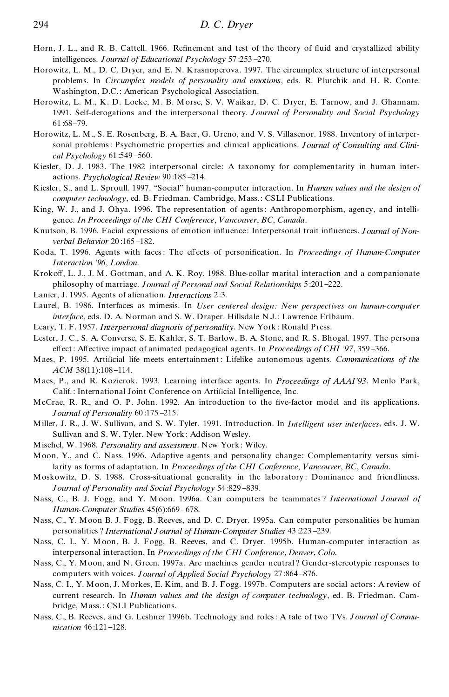- Horn, J. L., and R. B. Cattell. 1966. Refinement and test of the theory of fluid and crystallized ability intelligences. *J ournal of Educational Psychology* 57 :253 270.
- Horowitz, L. M., D. C. Dryer, and E. N. Krasnoperova. 1997. The circumplex structure of interpersonal problems. In *Circumplex models of personality and emotions*, eds. R. Plutchik and H. R. Conte. Washington, D.C.: American Psychological Association.
- Horowitz, L. M., K. D. Locke, M. B. Morse, S. V. Waikar, D. C. Dryer, E. Tarnow, and J. Ghannam. 1991. Self-derogations and the interpersonal theory. *J ournal of Personality and Social Psychology* 61:68-79.
- Horowitz, L. M., S. E. Rosenberg, B. A. Baer, G. Ureno, and V. S. Villasenor. 1988. Inventory of interpersonal problems: Psychometric properties and clinical applications. *Journal of Consulting and Clini cal Psychology* 61 :549 560.
- Kiesler, D. J. 1983. The 1982 interpersonal circle: A taxonomy for complementarity in human inter actions. *Psychological Review* 90 :185 214.
- Kiesler, S., and L. Sproull. 1997. ''Social'' human-computer interaction. In *Human values and the design of computer technology*, ed. B. Friedman. Cambridge, Mass.: CSLI Publications.
- King, W. J., and J. Ohya. 1996. The representation of agents: Anthropomorphism, agency, and intelli gence. *In Proceedings of the CHI Conference*, *Vancouver*, *BC*, *Canada*.
- Knutson, B. 1996. Facial expressions of emotion influence: Interpersonal trait influences. *J ournal of Nonverbal Behavior* 20:165-182.
- Koda, T. 1996. Agents with faces: The effects of personification. In *Proceedings of Human-Computer Interaction '96*, *London*.
- Krokoff, L. J., J. M. Gottman, and A. K. Roy. 1988. Blue-collar marital interaction and a companionate philosophy of marriage. *Journal of Personal and Social Relationships* 5 :201 222.
- Lanier, J. 1995. Agents of alienation. *Interactions* 2 :3.
- Laurel, B. 1986. Interfaces as mimesis. In *User centered design: New perspectives on human*-*computer interface*, eds. D. A. Norman and S. W. Draper. Hillsdale N.J.: Lawrence Erlbaum.
- Leary, T. F. 1957. *Interpersonal diagnosis of personality*. New York : Ronald Press.
- Lester, J. C., S. A. Converse, S. E. Kahler, S. T. Barlow, B. A. Stone, and R. S. Bhogal. 1997. The persona effect: Affective impact of animated pedagogical agents. In *Proceedings of CHI* '97, 359-366.
- Maes, P. 1995. Artificial life meets entertainment: Lifelike autonomous agents. *Communications of the ACM* 38(11):108-114.
- Maes, P., and R. Kozierok. 1993. Learning interface agents. In *Proceedings of AAAI'93*. Menlo Park, Calif.: International Joint Conference on Artificial Intelligence, Inc.
- McCrae, R. R., and O. P. John. 1992. An introduction to the five-factor model and its applications. *Journal of Personality* 60 :175 215.
- Miller, J. R., J. W. Sullivan, and S. W. Tyler. 1991. Introduction. In *Intelligent user interfaces*, eds. J. W. Sullivan and S. W. Tyler. New York : Addison Wesley.
- Mischel, W. 1968. *Personality and assessment*. New York : Wiley.
- Moon, Y., and C. Nass. 1996. Adaptive agents and personality change: Complementarity versus similarity as forms of adaptation. In *Proceedings of the CHI Conference*, *Vancouver*, *BC*, *Canada*.
- Moskowitz, D. S. 1988. Cross-situational generality in the laboratory : Dominance and friendliness. *Journal of Personality and Social Psychology* 54:829-839.
- Nass, C., B. J. Fogg, and Y. Moon. 1996a. Can computers be teammates ? *International Journal of Human-Computer Studies* 45(6):669-678.
- Nass, C., Y. Moon B. J. Fogg, B. Reeves, and D. C. Dryer. 1995a. Can computer personalities be human personalities ? *International J ournal of Human*-*Computer Studies* 43 :223 239.
- Nass, C. I., Y. Moon, B. J. Fogg, B. Reeves, and C. Dryer. 1995b. Human-computer interaction as interpersonal interaction. In *Proceedings of the CHI Conference*, *Denver*, *Colo*.
- Nass, C., Y. Moon, and N. Green. 1997a. Are machines gender neutral ? Gender-stereotypic responses to computers with voices. *J* ournal of Applied Social Psychology 27:864-876.
- Nass, C. I., Y. Moon, J. Morkes, E. Kim, and B. J. Fogg. 1997b. Computers are social actors: A review of current research. In *Human values and the design of computer technology*, ed. B. Friedman. Cam bridge, Mass.: CSLI Publications.
- Nass, C., B. Reeves, and G. Leshner 1996b. Technology and roles: A tale of two TVs. *J ournal of Commu nication* 46:121-128.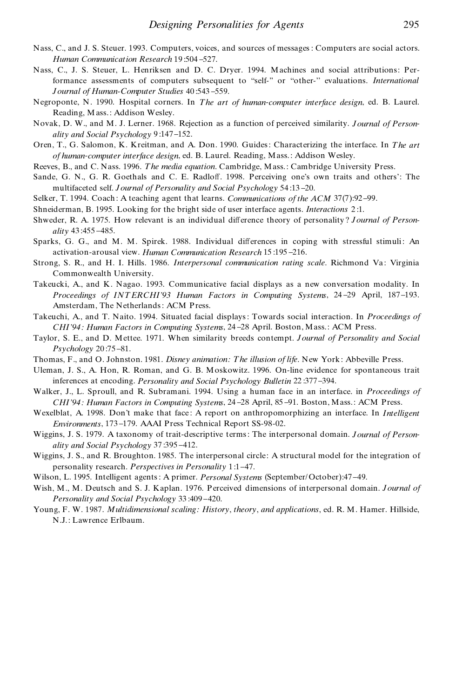- Nass, C., and J.S. Steuer. 1993. Computers, voices, and sources of messages :Computers are social actors. *Human Communication Research* 19:504-527.
- Nass, C., J. S. Steuer, L. Henriksen and D. C. Dryer. 1994. Machines and social attributions: Performance assessments of computers subsequent to ''self-'' or ''other-'' evaluations. *International Journal of Human*-*Computer Studies* 40 :543 559.
- Negroponte, N. 1990. Hospital corners. In *The art of human*-*computer interface design*, ed. B. Laurel. Reading, Mass.: Addison Wesley.
- Novak, D. W., and M. J. Lerner. 1968. Rejection as a function of perceived similarity. *Journal of Person ality and Social Psychology* 9 :147 152.
- Oren, T., G. Salomon, K. Kreitman, and A. Don. 1990. Guides: Characterizing the interface. In *The art of human*-*computer interface design*, ed. B. Laurel. Reading, Mass. : Addison Wesley.
- Reeves, B., and C. Nass. 1996. *The media equation*. Cambridge, Mass.: Cambridge University Press.
- Sande, G. N., G. R. Goethals and C. E. Radloff. 1998. Perceiving one's own traits and others': The multifaceted self. *Journal of Personality and Social Psychology* 54 :13 20.
- Selker, T. 1994. Coach : A teaching agent that learns. *Communications of the ACM* 37(7):92 99.
- Shneiderman, B. 1995. Looking for the bright side of user interface agents. *Interactions* 2 :1.
- Shweder, R. A. 1975. How relevant is an individual difference theory of personality? *Journal of Personality* 43 :455 485.
- Sparks, G. G., and M. M. Spirek. 1988. Individual differences in coping with stressful stimuli: An activation-arousal view. *Human Communication Research* 15 :195 216.
- Strong, S. R., and H. I. Hills. 1986. *Interpersonal communication rating scale*. Richmond Va : Virginia Commonwealth University.
- Takeucki, A., and K. Nagao. 1993. Communicative facial displays as a new conversation modality. In *Proceedings of INT ERCHI'93 Human Factors in Computing Systems*, 24 29 April, 187 193. Amsterdam, The Netherlands: ACM Press.
- Takeuchi, A., and T. Naito. 1994. Situated facial displays: Towards social interaction. In *Proceedings of CHI'94 : Human Factors in Computing Systems*, 24 28 April. Boston, Mass.: ACM Press.
- Taylor, S. E., and D. Mettee. 1971. When similarity breeds contempt. *Journal of Personality and Social Psychology* 20:75-81.
- Thomas, F., and O. Johnston. 1981. *Disney animation: The illusion of life*. New York : Abbeville Press.
- Uleman, J. S., A. Hon, R. Roman, and G. B. Moskowitz. 1996. On-line evidence for spontaneous trait inferences at encoding. *Personality and Social Psychology Bulletin* 22 :377 394.
- Walker, J., L. Sproull, and R. Subramani. 1994. Using a human face in an interface. in *Proceedings of CHI'94 : Human Factors in Computing Systems*, 24 28 April, 85 91. Boston, Mass.: ACM Press.
- Wexelblat, A. 1998. Don't make that face : A report on anthropomorphizing an interface. In *Intelligent Environments*, 173-179. AAAI Press Technical Report SS-98-02.
- Wiggins, J. S. 1979. A taxonomy of trait-descriptive terms: The interpersonal domain. *Journal of Person ality* and *Social Psychology* 37:395-412.
- Wiggins, J. S., and R. Broughton. 1985. The interpersonal circle: A structural model for the integration of personality research. *Perspectives in Personality* 1 :1 47.
- Wilson, L. 1995. Intelligent agents: A primer. *Personal Systems* (September/October):47 49.
- Wish, M., M. Deutsch and S. J. Kaplan. 1976. Perceived dimensions of interpersonal domain. *Journal of Personality and Social Psychology* 33:409-420.
- Young, F. W. 1987. *Multidimensional scaling: History*, *theory*, *and applications*, ed. R. M. Hamer. Hillside, N.J.: Lawrence Erlbaum.